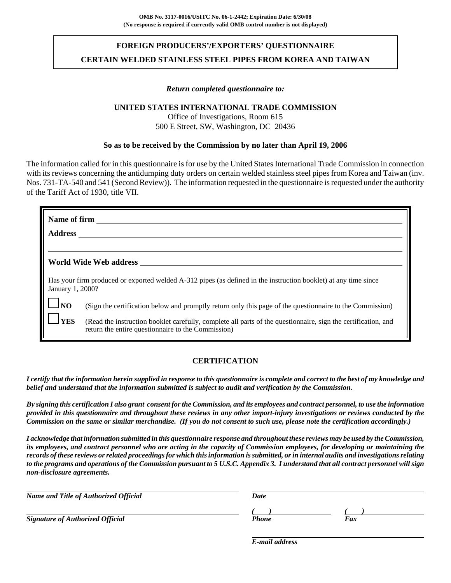# **FOREIGN PRODUCERS'/EXPORTERS' QUESTIONNAIRE CERTAIN WELDED STAINLESS STEEL PIPES FROM KOREA AND TAIWAN**

### *Return completed questionnaire to:*

## **UNITED STATES INTERNATIONAL TRADE COMMISSION**

Office of Investigations, Room 615 500 E Street, SW, Washington, DC 20436

### **So as to be received by the Commission by no later than April 19, 2006**

The information called for in this questionnaire is for use by the United States International Trade Commission in connection with its reviews concerning the antidumping duty orders on certain welded stainless steel pipes from Korea and Taiwan (inv. Nos. 731-TA-540 and 541 (Second Review)). The information requested in the questionnaire is requested under the authority of the Tariff Act of 1930, title VII.

| Name of firm     |                                                                                                                                                                     |
|------------------|---------------------------------------------------------------------------------------------------------------------------------------------------------------------|
| <b>Address</b>   |                                                                                                                                                                     |
|                  |                                                                                                                                                                     |
|                  | World Wide Web address                                                                                                                                              |
| January 1, 2000? | Has your firm produced or exported welded A-312 pipes (as defined in the instruction booklet) at any time since                                                     |
| NO               | (Sign the certification below and promptly return only this page of the questionnaire to the Commission)                                                            |
| <b>YES</b>       | (Read the instruction booklet carefully, complete all parts of the questionnaire, sign the certification, and<br>return the entire questionnaire to the Commission) |

## **CERTIFICATION**

*I certify that the information herein supplied in response to this questionnaire is complete and correct to the best of my knowledge and belief and understand that the information submitted is subject to audit and verification by the Commission.*

*By signing this certification I also grant consent for the Commission, and its employees and contract personnel, to use the information provided in this questionnaire and throughout these reviews in any other import-injury investigations or reviews conducted by the Commission on the same or similar merchandise. (If you do not consent to such use, please note the certification accordingly.)*

*I acknowledge that information submitted in this questionnaire response and throughout these reviews may be used by the Commission, its employees, and contract personnel who are acting in the capacity of Commission employees, for developing or maintaining the records of these reviews or related proceedings for which this information is submitted, or in internal audits and investigations relating to the programs and operations of the Commission pursuant to 5 U.S.C. Appendix 3. I understand that all contract personnel will sign non-disclosure agreements.*

| Name and Title of Authorized Official   | Date  |     |  |
|-----------------------------------------|-------|-----|--|
|                                         |       |     |  |
| <b>Signature of Authorized Official</b> | Phone | Fax |  |
|                                         |       |     |  |

*E-mail address*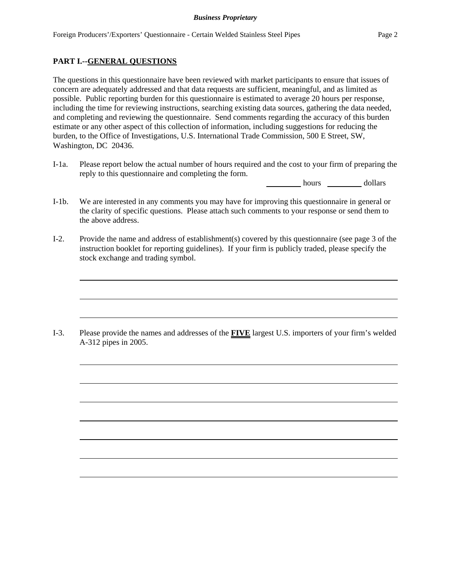### **PART I.--GENERAL QUESTIONS**

The questions in this questionnaire have been reviewed with market participants to ensure that issues of concern are adequately addressed and that data requests are sufficient, meaningful, and as limited as possible. Public reporting burden for this questionnaire is estimated to average 20 hours per response, including the time for reviewing instructions, searching existing data sources, gathering the data needed, and completing and reviewing the questionnaire. Send comments regarding the accuracy of this burden estimate or any other aspect of this collection of information, including suggestions for reducing the burden, to the Office of Investigations, U.S. International Trade Commission, 500 E Street, SW, Washington, DC 20436.

I-1a. Please report below the actual number of hours required and the cost to your firm of preparing the reply to this questionnaire and completing the form.

hours dollars

- I-1b. We are interested in any comments you may have for improving this questionnaire in general or the clarity of specific questions. Please attach such comments to your response or send them to the above address.
- I-2. Provide the name and address of establishment(s) covered by this questionnaire (see page 3 of the instruction booklet for reporting guidelines). If your firm is publicly traded, please specify the stock exchange and trading symbol.

I-3. Please provide the names and addresses of the **FIVE** largest U.S. importers of your firm's welded A-312 pipes in 2005.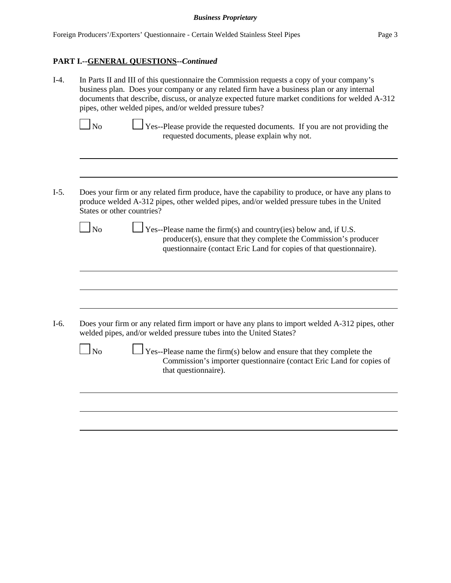# **PART I.--GENERAL QUESTIONS--***Continued*

| $I-4.$ | In Parts II and III of this questionnaire the Commission requests a copy of your company's<br>business plan. Does your company or any related firm have a business plan or any internal<br>documents that describe, discuss, or analyze expected future market conditions for welded A-312<br>pipes, other welded pipes, and/or welded pressure tubes? |  |  |  |  |
|--------|--------------------------------------------------------------------------------------------------------------------------------------------------------------------------------------------------------------------------------------------------------------------------------------------------------------------------------------------------------|--|--|--|--|
|        | <b>No</b><br>Yes--Please provide the requested documents. If you are not providing the<br>requested documents, please explain why not.                                                                                                                                                                                                                 |  |  |  |  |
| $I-5.$ | Does your firm or any related firm produce, have the capability to produce, or have any plans to<br>produce welded A-312 pipes, other welded pipes, and/or welded pressure tubes in the United<br>States or other countries?                                                                                                                           |  |  |  |  |
|        | $\ln$<br>$\frac{1}{2}$ Yes--Please name the firm(s) and country(ies) below and, if U.S.<br>producer(s), ensure that they complete the Commission's producer<br>questionnaire (contact Eric Land for copies of that questionnaire).                                                                                                                     |  |  |  |  |
|        |                                                                                                                                                                                                                                                                                                                                                        |  |  |  |  |
| $I-6.$ | Does your firm or any related firm import or have any plans to import welded A-312 pipes, other<br>welded pipes, and/or welded pressure tubes into the United States?                                                                                                                                                                                  |  |  |  |  |
|        | $\Box$ No<br>$\perp$ Yes--Please name the firm(s) below and ensure that they complete the<br>Commission's importer questionnaire (contact Eric Land for copies of<br>that questionnaire).                                                                                                                                                              |  |  |  |  |
|        |                                                                                                                                                                                                                                                                                                                                                        |  |  |  |  |
|        |                                                                                                                                                                                                                                                                                                                                                        |  |  |  |  |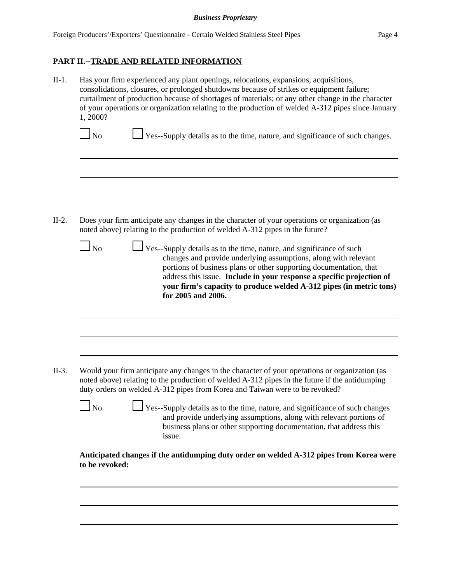II-1. Has your firm experienced any plant openings, relocations, expansions, acquisitions, consolidations, closures, or prolonged shutdowns because of strikes or equipment failure; curtailment of production because of shortages of materials; or any other change in the character of your operations or organization relating to the production of welded A-312 pipes since January 1, 2000?

 $\Box$  No  $\Box$  Yes--Supply details as to the time, nature, and significance of such changes.

II-2. Does your firm anticipate any changes in the character of your operations or organization (as noted above) relating to the production of welded A-312 pipes in the future?

| $N_{\Omega}$ |  |
|--------------|--|

 $\perp$  Yes--Supply details as to the time, nature, and significance of such changes and provide underlying assumptions, along with relevant portions of business plans or other supporting documentation, that address this issue. **Include in your response a specific projection of your firm's capacity to produce welded A-312 pipes (in metric tons) for 2005 and 2006.**

- II-3. Would your firm anticipate any changes in the character of your operations or organization (as noted above) relating to the production of welded A-312 pipes in the future if the antidumping duty orders on welded A-312 pipes from Korea and Taiwan were to be revoked?
	- - $\Box$  Yes--Supply details as to the time, nature, and significance of such changes and provide underlying assumptions, along with relevant portions of business plans or other supporting documentation, that address this issue.

**Anticipated changes if the antidumping duty order on welded A-312 pipes from Korea were to be revoked:**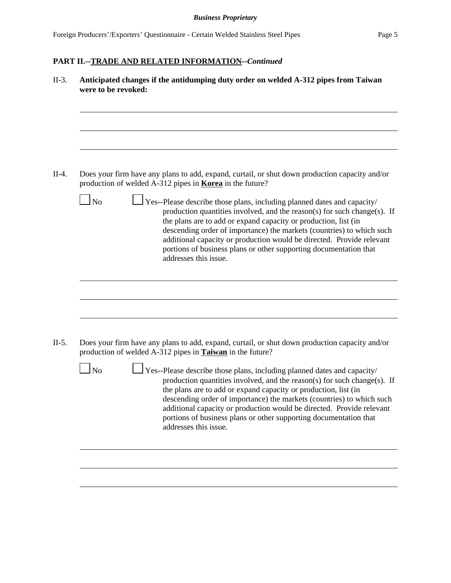| N <sub>o</sub> | Does your firm have any plans to add, expand, curtail, or shut down production capacity and/or<br>production of welded A-312 pipes in <b>Korea</b> in the future?<br>Yes--Please describe those plans, including planned dates and capacity/<br>production quantities involved, and the reason(s) for such change(s). If                                                                    |
|----------------|---------------------------------------------------------------------------------------------------------------------------------------------------------------------------------------------------------------------------------------------------------------------------------------------------------------------------------------------------------------------------------------------|
|                | the plans are to add or expand capacity or production, list (in<br>descending order of importance) the markets (countries) to which such<br>additional capacity or production would be directed. Provide relevant<br>portions of business plans or other supporting documentation that<br>addresses this issue.                                                                             |
| N <sub>o</sub> | Does your firm have any plans to add, expand, curtail, or shut down production capacity and/or<br>production of welded A-312 pipes in <b>Taiwan</b> in the future?<br>Yes--Please describe those plans, including planned dates and capacity/                                                                                                                                               |
|                | production quantities involved, and the reason(s) for such change(s). If<br>the plans are to add or expand capacity or production, list (in<br>descending order of importance) the markets (countries) to which such<br>additional capacity or production would be directed. Provide relevant<br>portions of business plans or other supporting documentation that<br>addresses this issue. |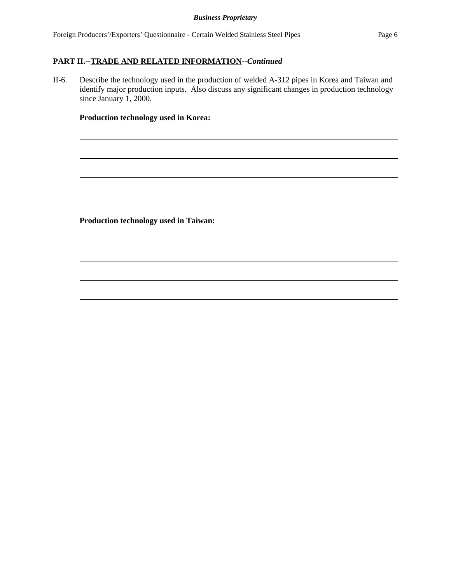II-6. Describe the technology used in the production of welded A-312 pipes in Korea and Taiwan and identify major production inputs. Also discuss any significant changes in production technology since January 1, 2000.

## **Production technology used in Korea:**

**Production technology used in Taiwan:**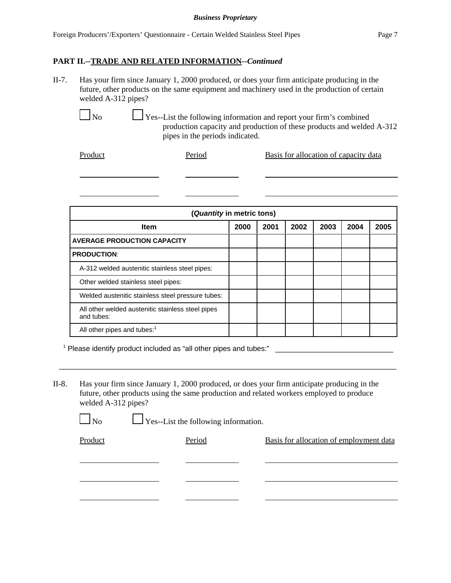II-7. Has your firm since January 1, 2000 produced, or does your firm anticipate producing in the future, other products on the same equipment and machinery used in the production of certain welded A-312 pipes?

> $\Box$  Yes--List the following information and report your firm's combined production capacity and production of these products and welded A-312 pipes in the periods indicated.

Product Period Basis for allocation of capacity data

**(***Quantity* **in metric tons) Item 2000 2001 2002 2003 2004 2005 AVERAGE PRODUCTION CAPACITY PRODUCTION**: A-312 welded austenitic stainless steel pipes: Other welded stainless steel pipes: Welded austenitic stainless steel pressure tubes: All other welded austenitic stainless steel pipes and tubes: All other pipes and tubes:<sup>1</sup>

1 Please identify product included as "all other pipes and tubes:" \_\_\_\_\_\_\_\_\_\_\_\_\_\_\_\_\_\_\_\_\_\_\_\_\_\_\_\_\_

No Pes--List the following information.

II-8. Has your firm since January 1, 2000 produced, or does your firm anticipate producing in the future, other products using the same production and related workers employed to produce welded A-312 pipes?

\_\_\_\_\_\_\_\_\_\_\_\_\_\_\_\_\_\_\_\_\_\_\_\_\_\_\_\_\_\_\_\_\_\_\_\_\_\_\_\_\_\_\_\_\_\_\_\_\_\_\_\_\_\_\_\_\_\_\_\_\_\_\_\_\_\_\_\_\_\_\_\_\_\_\_\_\_\_\_\_\_\_\_

| Product | Period | Basis for allocation of employment data |
|---------|--------|-----------------------------------------|
|         |        |                                         |
|         |        |                                         |
|         |        |                                         |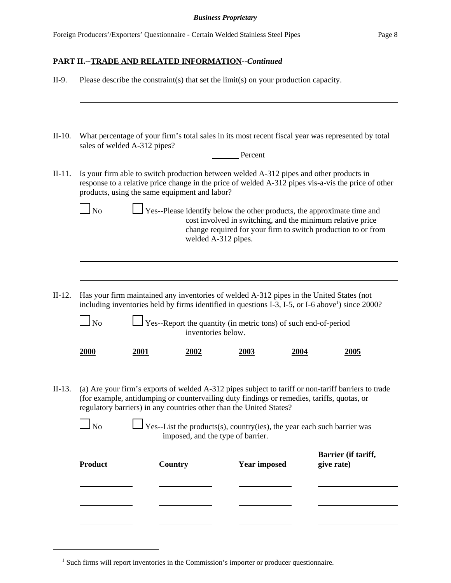| II-9.    |                                                                                                                                                                                                                                                                                                                                                                                                              |                              |                                               | Please describe the constraint(s) that set the limit(s) on your production capacity.                                                                                |      |                                                                                                                                                                                                               |
|----------|--------------------------------------------------------------------------------------------------------------------------------------------------------------------------------------------------------------------------------------------------------------------------------------------------------------------------------------------------------------------------------------------------------------|------------------------------|-----------------------------------------------|---------------------------------------------------------------------------------------------------------------------------------------------------------------------|------|---------------------------------------------------------------------------------------------------------------------------------------------------------------------------------------------------------------|
|          |                                                                                                                                                                                                                                                                                                                                                                                                              |                              |                                               |                                                                                                                                                                     |      |                                                                                                                                                                                                               |
| $II-10.$ |                                                                                                                                                                                                                                                                                                                                                                                                              | sales of welded A-312 pipes? |                                               |                                                                                                                                                                     |      | What percentage of your firm's total sales in its most recent fiscal year was represented by total                                                                                                            |
|          |                                                                                                                                                                                                                                                                                                                                                                                                              |                              |                                               | Percent                                                                                                                                                             |      |                                                                                                                                                                                                               |
| $II-11.$ |                                                                                                                                                                                                                                                                                                                                                                                                              |                              | products, using the same equipment and labor? | Is your firm able to switch production between welded A-312 pipes and other products in                                                                             |      | response to a relative price change in the price of welded A-312 pipes vis-a-vis the price of other                                                                                                           |
|          | $\blacksquare$ No                                                                                                                                                                                                                                                                                                                                                                                            |                              |                                               | welded A-312 pipes.                                                                                                                                                 |      | $\Box$ Yes--Please identify below the other products, the approximate time and<br>cost involved in switching, and the minimum relative price<br>change required for your firm to switch production to or from |
|          |                                                                                                                                                                                                                                                                                                                                                                                                              |                              |                                               |                                                                                                                                                                     |      |                                                                                                                                                                                                               |
| $II-12.$ | $\ln$                                                                                                                                                                                                                                                                                                                                                                                                        |                              | inventories below.                            | Has your firm maintained any inventories of welded A-312 pipes in the United States (not<br>$\perp$ Yes--Report the quantity (in metric tons) of such end-of-period |      | including inventories held by firms identified in questions I-3, I-5, or I-6 above <sup>1</sup> ) since 2000?                                                                                                 |
|          | <b>2000</b>                                                                                                                                                                                                                                                                                                                                                                                                  | 2001                         | 2002                                          | 2003                                                                                                                                                                | 2004 | 2005                                                                                                                                                                                                          |
| $II-13.$ | (a) Are your firm's exports of welded A-312 pipes subject to tariff or non-tariff barriers to trade<br>(for example, antidumping or countervailing duty findings or remedies, tariffs, quotas, or<br>regulatory barriers) in any countries other than the United States?<br>$\Box$ No<br>$\Box$ Yes--List the products(s), country(ies), the year each such barrier was<br>imposed, and the type of barrier. |                              |                                               |                                                                                                                                                                     |      |                                                                                                                                                                                                               |
|          | <b>Product</b>                                                                                                                                                                                                                                                                                                                                                                                               |                              | Country                                       | <b>Year imposed</b>                                                                                                                                                 |      | Barrier (if tariff,<br>give rate)                                                                                                                                                                             |
|          |                                                                                                                                                                                                                                                                                                                                                                                                              |                              |                                               |                                                                                                                                                                     |      |                                                                                                                                                                                                               |
|          |                                                                                                                                                                                                                                                                                                                                                                                                              |                              |                                               |                                                                                                                                                                     |      |                                                                                                                                                                                                               |
|          |                                                                                                                                                                                                                                                                                                                                                                                                              |                              |                                               |                                                                                                                                                                     |      |                                                                                                                                                                                                               |

<sup>&</sup>lt;sup>1</sup> Such firms will report inventories in the Commission's importer or producer questionnaire.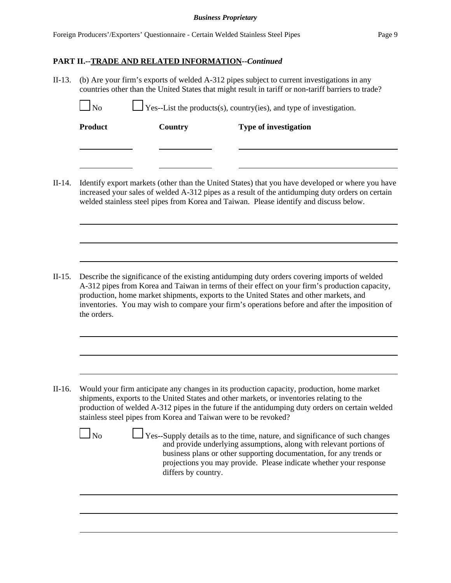### **PART II.--TRADE AND RELATED INFORMATION--***Continued*

II-13. (b) Are your firm's exports of welded A-312 pipes subject to current investigations in any countries other than the United States that might result in tariff or non-tariff barriers to trade?

| $1\mathrm{No}$ | $\Box$ Yes--List the products(s), country(ies), and type of investigation. |                              |  |
|----------------|----------------------------------------------------------------------------|------------------------------|--|
| <b>Product</b> | Country                                                                    | <b>Type of investigation</b> |  |
|                |                                                                            |                              |  |
|                |                                                                            |                              |  |
|                |                                                                            |                              |  |

II-14. Identify export markets (other than the United States) that you have developed or where you have increased your sales of welded A-312 pipes as a result of the antidumping duty orders on certain welded stainless steel pipes from Korea and Taiwan. Please identify and discuss below.

II-15. Describe the significance of the existing antidumping duty orders covering imports of welded A-312 pipes from Korea and Taiwan in terms of their effect on your firm's production capacity, production, home market shipments, exports to the United States and other markets, and inventories. You may wish to compare your firm's operations before and after the imposition of the orders.

II-16. Would your firm anticipate any changes in its production capacity, production, home market shipments, exports to the United States and other markets, or inventories relating to the production of welded A-312 pipes in the future if the antidumping duty orders on certain welded stainless steel pipes from Korea and Taiwan were to be revoked?

 $\Box$  No  $\Box$  Yes--Supply details as to the time, nature, and significance of such changes and provide underlying assumptions, along with relevant portions of business plans or other supporting documentation, for any trends or projections you may provide. Please indicate whether your response differs by country.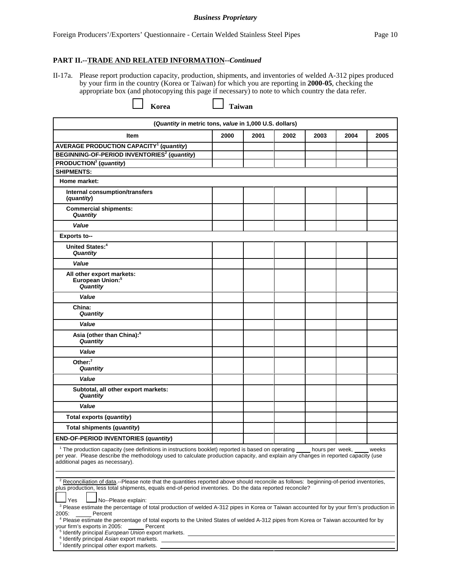#### **PART II.--TRADE AND RELATED INFORMATION--***Continued*

II-17a. Please report production capacity, production, shipments, and inventories of welded A-312 pipes produced by your firm in the country (Korea or Taiwan) for which you are reporting in **2000-05**, checking the appropriate box (and photocopying this page if necessary) to note to which country the data refer.

**Korea Legion Taiwan** 

| (Quantity in metric tons, value in 1,000 U.S. dollars)                                                                                                                                                                                                                                                                                                                                                                                              |      |      |      |      |      |       |
|-----------------------------------------------------------------------------------------------------------------------------------------------------------------------------------------------------------------------------------------------------------------------------------------------------------------------------------------------------------------------------------------------------------------------------------------------------|------|------|------|------|------|-------|
| <b>Item</b>                                                                                                                                                                                                                                                                                                                                                                                                                                         | 2000 | 2001 | 2002 | 2003 | 2004 | 2005  |
| <b>AVERAGE PRODUCTION CAPACITY<sup>1</sup></b> (quantity)                                                                                                                                                                                                                                                                                                                                                                                           |      |      |      |      |      |       |
| BEGINNING-OF-PERIOD INVENTORIES <sup>2</sup> (quantity)                                                                                                                                                                                                                                                                                                                                                                                             |      |      |      |      |      |       |
| PRODUCTION <sup>3</sup> (quantity)                                                                                                                                                                                                                                                                                                                                                                                                                  |      |      |      |      |      |       |
| <b>SHIPMENTS:</b>                                                                                                                                                                                                                                                                                                                                                                                                                                   |      |      |      |      |      |       |
| Home market:                                                                                                                                                                                                                                                                                                                                                                                                                                        |      |      |      |      |      |       |
| Internal consumption/transfers<br>(quantity)                                                                                                                                                                                                                                                                                                                                                                                                        |      |      |      |      |      |       |
| <b>Commercial shipments:</b><br>Quantity                                                                                                                                                                                                                                                                                                                                                                                                            |      |      |      |      |      |       |
| Value                                                                                                                                                                                                                                                                                                                                                                                                                                               |      |      |      |      |      |       |
| Exports to--                                                                                                                                                                                                                                                                                                                                                                                                                                        |      |      |      |      |      |       |
| United States: <sup>4</sup><br>Quantity                                                                                                                                                                                                                                                                                                                                                                                                             |      |      |      |      |      |       |
| Value                                                                                                                                                                                                                                                                                                                                                                                                                                               |      |      |      |      |      |       |
| All other export markets:<br>European Union: <sup>5</sup><br>Quantity                                                                                                                                                                                                                                                                                                                                                                               |      |      |      |      |      |       |
| Value                                                                                                                                                                                                                                                                                                                                                                                                                                               |      |      |      |      |      |       |
| China:<br>Quantity                                                                                                                                                                                                                                                                                                                                                                                                                                  |      |      |      |      |      |       |
| Value                                                                                                                                                                                                                                                                                                                                                                                                                                               |      |      |      |      |      |       |
| Asia (other than China): <sup>6</sup><br>Quantity                                                                                                                                                                                                                                                                                                                                                                                                   |      |      |      |      |      |       |
| Value                                                                                                                                                                                                                                                                                                                                                                                                                                               |      |      |      |      |      |       |
| Other: $7$<br><b>Quantity</b>                                                                                                                                                                                                                                                                                                                                                                                                                       |      |      |      |      |      |       |
| Value                                                                                                                                                                                                                                                                                                                                                                                                                                               |      |      |      |      |      |       |
| Subtotal, all other export markets:<br>Quantity                                                                                                                                                                                                                                                                                                                                                                                                     |      |      |      |      |      |       |
| Value                                                                                                                                                                                                                                                                                                                                                                                                                                               |      |      |      |      |      |       |
| Total exports (quantity)                                                                                                                                                                                                                                                                                                                                                                                                                            |      |      |      |      |      |       |
| Total shipments (quantity)                                                                                                                                                                                                                                                                                                                                                                                                                          |      |      |      |      |      |       |
| END-OF-PERIOD INVENTORIES (quantity)                                                                                                                                                                                                                                                                                                                                                                                                                |      |      |      |      |      |       |
| <sup>1</sup> The production capacity (see definitions in instructions booklet) reported is based on operating hours per week,<br>per year. Please describe the methodology used to calculate production capacity, and explain any changes in reported capacity (use<br>additional pages as necessary).                                                                                                                                              |      |      |      |      |      | weeks |
| <sup>2</sup> Reconciliation of data.--Please note that the quantities reported above should reconcile as follows: beginning-of-period inventories,<br>plus production, less total shipments, equals end-of-period inventories. Do the data reported reconcile?<br>Yes<br>No--Please explain:<br><sup>3</sup> Please estimate the percentage of total production of welded A-312 pipes in Korea or Taiwan accounted for by your firm's production in |      |      |      |      |      |       |
| Percent<br>2005:<br><sup>4</sup> Please estimate the percentage of total exports to the United States of welded A-312 pipes from Korea or Taiwan accounted for by<br>your firm's exports in 2005:<br>Percent<br>$\mathbf{u}$ is a single $\mathbf{u}$ $\mathbf{u}$ is a set $\mathbf{u}$                                                                                                                                                            |      |      |      |      |      |       |

5 dentify principal *European Union* export markets.

<sup>6</sup> Identify principal Asian export markets.

<sup>7</sup> Identify principal *other* export markets.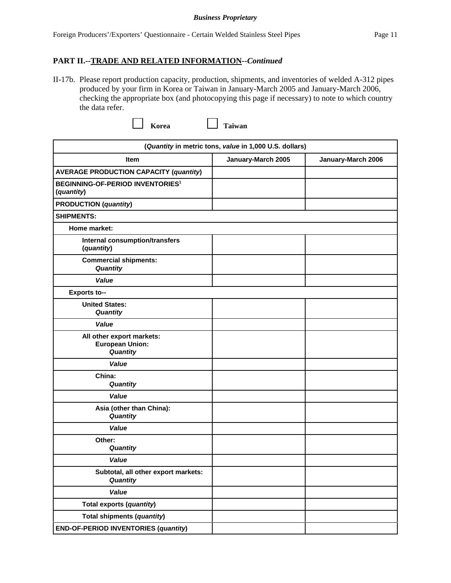## **PART II.--TRADE AND RELATED INFORMATION--***Continued*

II-17b. Please report production capacity, production, shipments, and inventories of welded A-312 pipes produced by your firm in Korea or Taiwan in January-March 2005 and January-March 2006, checking the appropriate box (and photocopying this page if necessary) to note to which country the data refer.

**Korea Legion Taiwan** 

| (Quantity in metric tons, value in 1,000 U.S. dollars)           |                    |                    |  |
|------------------------------------------------------------------|--------------------|--------------------|--|
| <b>Item</b>                                                      | January-March 2005 | January-March 2006 |  |
| <b>AVERAGE PRODUCTION CAPACITY (quantity)</b>                    |                    |                    |  |
| <b>BEGINNING-OF-PERIOD INVENTORIES<sup>1</sup></b><br>(quantity) |                    |                    |  |
| <b>PRODUCTION</b> (quantity)                                     |                    |                    |  |
| <b>SHIPMENTS:</b>                                                |                    |                    |  |
| Home market:                                                     |                    |                    |  |
| Internal consumption/transfers<br>(quantity)                     |                    |                    |  |
| <b>Commercial shipments:</b><br>Quantity                         |                    |                    |  |
| Value                                                            |                    |                    |  |
| Exports to--                                                     |                    |                    |  |
| <b>United States:</b><br>Quantity                                |                    |                    |  |
| Value                                                            |                    |                    |  |
| All other export markets:<br><b>European Union:</b><br>Quantity  |                    |                    |  |
| Value                                                            |                    |                    |  |
| China:<br>Quantity                                               |                    |                    |  |
| Value                                                            |                    |                    |  |
| Asia (other than China):<br>Quantity                             |                    |                    |  |
| Value                                                            |                    |                    |  |
| Other:<br>Quantity                                               |                    |                    |  |
| Value                                                            |                    |                    |  |
| Subtotal, all other export markets:<br>Quantity                  |                    |                    |  |
| Value                                                            |                    |                    |  |
| Total exports (quantity)                                         |                    |                    |  |
| Total shipments (quantity)                                       |                    |                    |  |
| <b>END-OF-PERIOD INVENTORIES (quantity)</b>                      |                    |                    |  |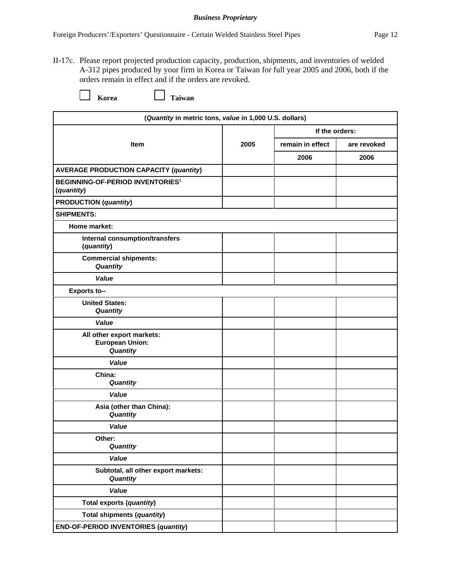II-17c. Please report projected production capacity, production, shipments, and inventories of welded A-312 pipes produced by your firm in Korea or Taiwan for full year 2005 and 2006, both if the orders remain in effect and if the orders are revoked.

**Korea Legendia** Taiwan

| (Quantity in metric tons, value in 1,000 U.S. dollars)           |      |                  |             |  |
|------------------------------------------------------------------|------|------------------|-------------|--|
|                                                                  | 2005 | If the orders:   |             |  |
| <b>Item</b>                                                      |      | remain in effect | are revoked |  |
|                                                                  |      | 2006             | 2006        |  |
| <b>AVERAGE PRODUCTION CAPACITY (quantity)</b>                    |      |                  |             |  |
| <b>BEGINNING-OF-PERIOD INVENTORIES<sup>1</sup></b><br>(quantity) |      |                  |             |  |
| <b>PRODUCTION</b> (quantity)                                     |      |                  |             |  |
| <b>SHIPMENTS:</b>                                                |      |                  |             |  |
| Home market:                                                     |      |                  |             |  |
| Internal consumption/transfers<br>(quantity)                     |      |                  |             |  |
| <b>Commercial shipments:</b><br>Quantity                         |      |                  |             |  |
| Value                                                            |      |                  |             |  |
| <b>Exports to--</b>                                              |      |                  |             |  |
| <b>United States:</b><br>Quantity                                |      |                  |             |  |
| Value                                                            |      |                  |             |  |
| All other export markets:<br><b>European Union:</b><br>Quantity  |      |                  |             |  |
| Value                                                            |      |                  |             |  |
| China:<br>Quantity                                               |      |                  |             |  |
| Value                                                            |      |                  |             |  |
| Asia (other than China):<br>Quantity                             |      |                  |             |  |
| Value                                                            |      |                  |             |  |
| Other:<br>Quantity                                               |      |                  |             |  |
| Value                                                            |      |                  |             |  |
| Subtotal, all other export markets:<br>Quantity                  |      |                  |             |  |
| Value                                                            |      |                  |             |  |
| Total exports (quantity)                                         |      |                  |             |  |
| Total shipments (quantity)                                       |      |                  |             |  |
| <b>END-OF-PERIOD INVENTORIES (quantity)</b>                      |      |                  |             |  |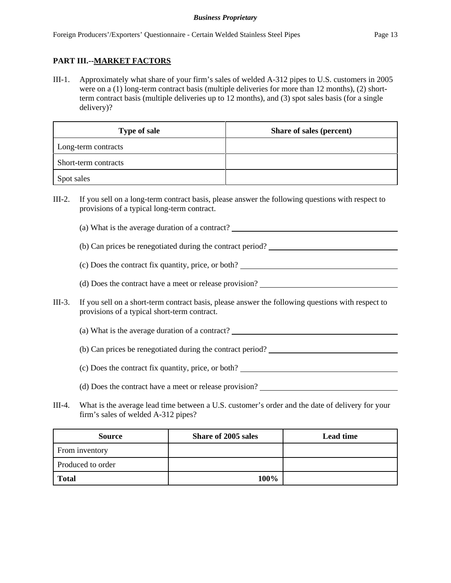## **PART III.--MARKET FACTORS**

III-1. Approximately what share of your firm's sales of welded A-312 pipes to U.S. customers in 2005 were on a (1) long-term contract basis (multiple deliveries for more than 12 months), (2) shortterm contract basis (multiple deliveries up to 12 months), and (3) spot sales basis (for a single delivery)?

| <b>Type of sale</b>  | Share of sales (percent) |
|----------------------|--------------------------|
| Long-term contracts  |                          |
| Short-term contracts |                          |
| Spot sales           |                          |

- III-2. If you sell on a long-term contract basis, please answer the following questions with respect to provisions of a typical long-term contract.
	- (a) What is the average duration of a contract?
	- (b) Can prices be renegotiated during the contract period?
	- (c) Does the contract fix quantity, price, or both?
	- (d) Does the contract have a meet or release provision?
- III-3. If you sell on a short-term contract basis, please answer the following questions with respect to provisions of a typical short-term contract.
	- (a) What is the average duration of a contract?
	- (b) Can prices be renegotiated during the contract period?
	- (c) Does the contract fix quantity, price, or both?
	- (d) Does the contract have a meet or release provision?
- III-4. What is the average lead time between a U.S. customer's order and the date of delivery for your firm's sales of welded A-312 pipes?

| <b>Source</b>     | Share of 2005 sales | <b>Lead time</b> |
|-------------------|---------------------|------------------|
| From inventory    |                     |                  |
| Produced to order |                     |                  |
| <b>Total</b>      | 100%                |                  |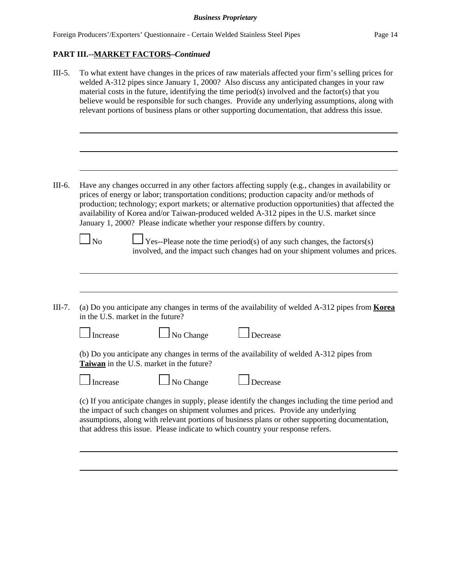| $III-5.$ | To what extent have changes in the prices of raw materials affected your firm's selling prices for<br>welded A-312 pipes since January 1, 2000? Also discuss any anticipated changes in your raw<br>material costs in the future, identifying the time period(s) involved and the factor(s) that you<br>believe would be responsible for such changes. Provide any underlying assumptions, along with<br>relevant portions of business plans or other supporting documentation, that address this issue.                                                                                                                                                               |  |  |  |
|----------|------------------------------------------------------------------------------------------------------------------------------------------------------------------------------------------------------------------------------------------------------------------------------------------------------------------------------------------------------------------------------------------------------------------------------------------------------------------------------------------------------------------------------------------------------------------------------------------------------------------------------------------------------------------------|--|--|--|
|          |                                                                                                                                                                                                                                                                                                                                                                                                                                                                                                                                                                                                                                                                        |  |  |  |
| III-6.   | Have any changes occurred in any other factors affecting supply (e.g., changes in availability or<br>prices of energy or labor; transportation conditions; production capacity and/or methods of<br>production; technology; export markets; or alternative production opportunities) that affected the<br>availability of Korea and/or Taiwan-produced welded A-312 pipes in the U.S. market since<br>January 1, 2000? Please indicate whether your response differs by country.<br>$\log$<br>$\overline{Y}$ Yes--Please note the time period(s) of any such changes, the factors(s)<br>involved, and the impact such changes had on your shipment volumes and prices. |  |  |  |
| III-7.   | (a) Do you anticipate any changes in terms of the availability of welded A-312 pipes from <b>Korea</b><br>in the U.S. market in the future?                                                                                                                                                                                                                                                                                                                                                                                                                                                                                                                            |  |  |  |
|          | No Change<br>Decrease<br>Increase                                                                                                                                                                                                                                                                                                                                                                                                                                                                                                                                                                                                                                      |  |  |  |
|          | (b) Do you anticipate any changes in terms of the availability of welded A-312 pipes from<br>Taiwan in the U.S. market in the future?                                                                                                                                                                                                                                                                                                                                                                                                                                                                                                                                  |  |  |  |
|          | No Change<br>Increase<br>Decrease                                                                                                                                                                                                                                                                                                                                                                                                                                                                                                                                                                                                                                      |  |  |  |
|          | (c) If you anticipate changes in supply, please identify the changes including the time period and<br>the impact of such changes on shipment volumes and prices. Provide any underlying<br>assumptions, along with relevant portions of business plans or other supporting documentation,<br>that address this issue. Please indicate to which country your response refers.                                                                                                                                                                                                                                                                                           |  |  |  |
|          |                                                                                                                                                                                                                                                                                                                                                                                                                                                                                                                                                                                                                                                                        |  |  |  |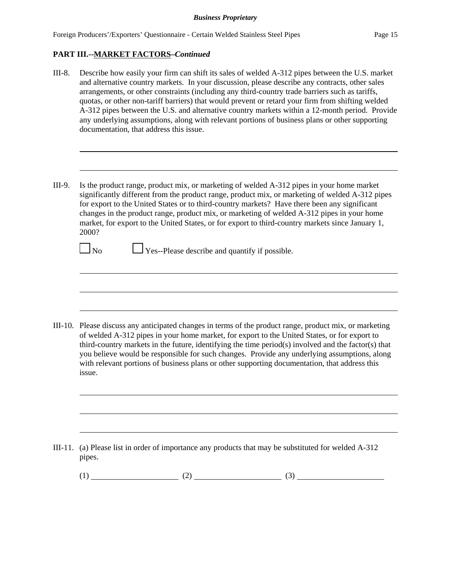- III-8. Describe how easily your firm can shift its sales of welded A-312 pipes between the U.S. market and alternative country markets. In your discussion, please describe any contracts, other sales arrangements, or other constraints (including any third-country trade barriers such as tariffs, quotas, or other non-tariff barriers) that would prevent or retard your firm from shifting welded A-312 pipes between the U.S. and alternative country markets within a 12-month period. Provide any underlying assumptions, along with relevant portions of business plans or other supporting documentation, that address this issue.
- III-9. Is the product range, product mix, or marketing of welded A-312 pipes in your home market significantly different from the product range, product mix, or marketing of welded A-312 pipes for export to the United States or to third-country markets? Have there been any significant changes in the product range, product mix, or marketing of welded A-312 pipes in your home market, for export to the United States, or for export to third-country markets since January 1, 2000?

 $\Box$  No  $\Box$  Yes--Please describe and quantify if possible.

III-10. Please discuss any anticipated changes in terms of the product range, product mix, or marketing of welded A-312 pipes in your home market, for export to the United States, or for export to third-country markets in the future, identifying the time period(s) involved and the factor(s) that you believe would be responsible for such changes. Provide any underlying assumptions, along with relevant portions of business plans or other supporting documentation, that address this issue.

III-11. (a) Please list in order of importance any products that may be substituted for welded A-312 pipes.

 $(1)$  (2) (3)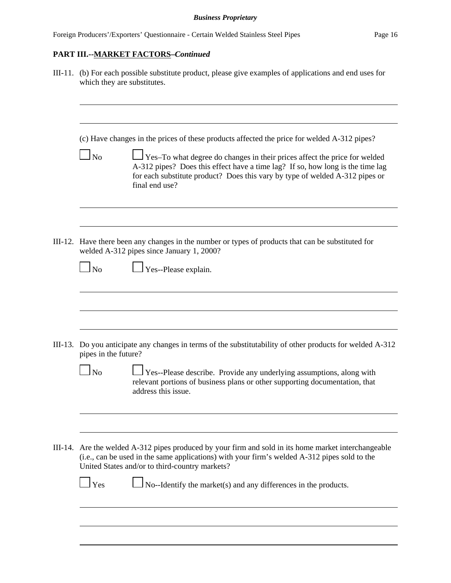| III-11. (b) For each possible substitute product, please give examples of applications and end uses for<br>which they are substitutes.                                                                                                                                                                                                                                    |  |  |  |
|---------------------------------------------------------------------------------------------------------------------------------------------------------------------------------------------------------------------------------------------------------------------------------------------------------------------------------------------------------------------------|--|--|--|
| (c) Have changes in the prices of these products affected the price for welded A-312 pipes?<br>$\Box$ No<br>Yes-To what degree do changes in their prices affect the price for welded<br>A-312 pipes? Does this effect have a time lag? If so, how long is the time lag<br>for each substitute product? Does this vary by type of welded A-312 pipes or<br>final end use? |  |  |  |
| III-12. Have there been any changes in the number or types of products that can be substituted for<br>welded A-312 pipes since January 1, 2000?<br>Yes--Please explain.<br>$\Box$ No                                                                                                                                                                                      |  |  |  |
| III-13. Do you anticipate any changes in terms of the substitutability of other products for welded A-312<br>pipes in the future?<br>Yes--Please describe. Provide any underlying assumptions, along with<br>$\Box$ No                                                                                                                                                    |  |  |  |
| relevant portions of business plans or other supporting documentation, that<br>address this issue.<br>III-14. Are the welded A-312 pipes produced by your firm and sold in its home market interchangeable<br>(i.e., can be used in the same applications) with your firm's welded A-312 pipes sold to the<br>United States and/or to third-country markets?              |  |  |  |
| $\Box$ Yes<br>No--Identify the market(s) and any differences in the products.                                                                                                                                                                                                                                                                                             |  |  |  |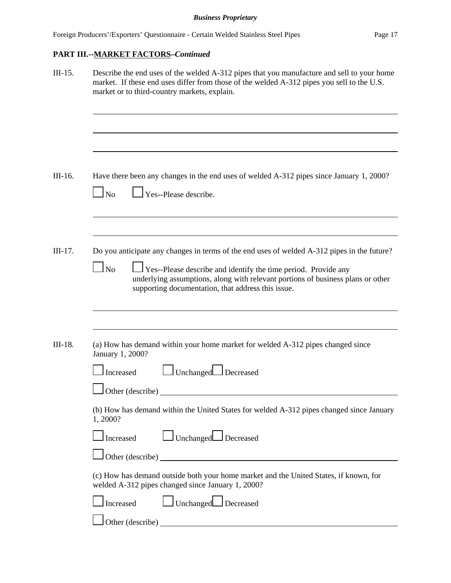| Describe the end uses of the welded A-312 pipes that you manufacture and sell to your home<br>market. If these end uses differ from those of the welded A-312 pipes you sell to the U.S.<br>market or to third-country markets, explain. |                                                                                                                                                                                                                                                                                                        |  |
|------------------------------------------------------------------------------------------------------------------------------------------------------------------------------------------------------------------------------------------|--------------------------------------------------------------------------------------------------------------------------------------------------------------------------------------------------------------------------------------------------------------------------------------------------------|--|
|                                                                                                                                                                                                                                          |                                                                                                                                                                                                                                                                                                        |  |
| $\Box$ No                                                                                                                                                                                                                                | Have there been any changes in the end uses of welded A-312 pipes since January 1, 2000?<br>Yes--Please describe.                                                                                                                                                                                      |  |
| $\Box$ No                                                                                                                                                                                                                                | Do you anticipate any changes in terms of the end uses of welded A-312 pipes in the future?<br>Yes--Please describe and identify the time period. Provide any<br>underlying assumptions, along with relevant portions of business plans or other<br>supporting documentation, that address this issue. |  |
|                                                                                                                                                                                                                                          |                                                                                                                                                                                                                                                                                                        |  |
| January 1, 2000?                                                                                                                                                                                                                         | (a) How has demand within your home market for welded A-312 pipes changed since                                                                                                                                                                                                                        |  |
| Increased                                                                                                                                                                                                                                | Unchanged Decreased                                                                                                                                                                                                                                                                                    |  |
|                                                                                                                                                                                                                                          | Other (describe)                                                                                                                                                                                                                                                                                       |  |
| 1,2000?                                                                                                                                                                                                                                  | (b) How has demand within the United States for welded A-312 pipes changed since January                                                                                                                                                                                                               |  |
| Increased                                                                                                                                                                                                                                | Unchanged Decreased                                                                                                                                                                                                                                                                                    |  |
|                                                                                                                                                                                                                                          |                                                                                                                                                                                                                                                                                                        |  |
|                                                                                                                                                                                                                                          | (c) How has demand outside both your home market and the United States, if known, for                                                                                                                                                                                                                  |  |
|                                                                                                                                                                                                                                          | welded A-312 pipes changed since January 1, 2000?                                                                                                                                                                                                                                                      |  |
| Increased                                                                                                                                                                                                                                | Unchanged Decreased                                                                                                                                                                                                                                                                                    |  |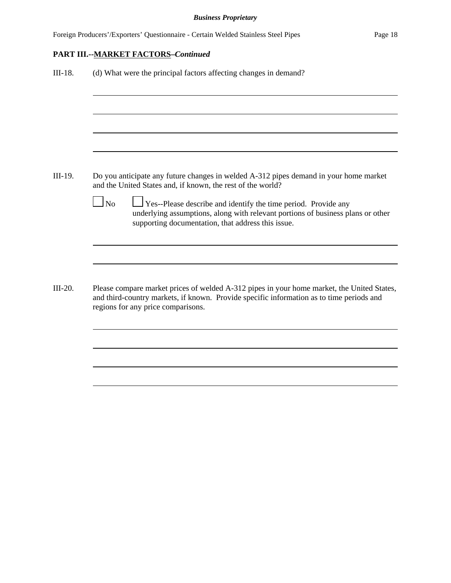| (d) What were the principal factors affecting changes in demand? |                                                                                                                                                                                                                              |  |
|------------------------------------------------------------------|------------------------------------------------------------------------------------------------------------------------------------------------------------------------------------------------------------------------------|--|
|                                                                  |                                                                                                                                                                                                                              |  |
|                                                                  |                                                                                                                                                                                                                              |  |
|                                                                  |                                                                                                                                                                                                                              |  |
|                                                                  | Do you anticipate any future changes in welded A-312 pipes demand in your home market<br>and the United States and, if known, the rest of the world?                                                                         |  |
| $\Box$ No                                                        | $\Box$ Yes--Please describe and identify the time period. Provide any<br>underlying assumptions, along with relevant portions of business plans or other<br>supporting documentation, that address this issue.               |  |
|                                                                  |                                                                                                                                                                                                                              |  |
|                                                                  | Please compare market prices of welded A-312 pipes in your home market, the United States,<br>and third-country markets, if known. Provide specific information as to time periods and<br>regions for any price comparisons. |  |